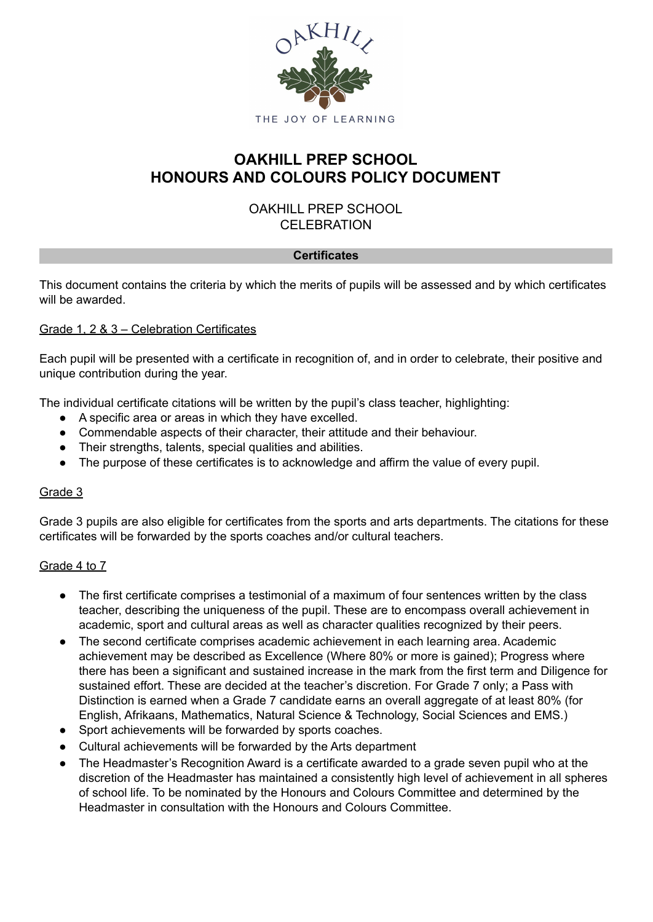

# **OAKHILL PREP SCHOOL HONOURS AND COLOURS POLICY DOCUMENT**

# OAKHILL PREP SCHOOL CELEBRATION

### **Certificates**

This document contains the criteria by which the merits of pupils will be assessed and by which certificates will be awarded.

### Grade 1, 2 & 3 – Celebration Certificates

Each pupil will be presented with a certificate in recognition of, and in order to celebrate, their positive and unique contribution during the year.

The individual certificate citations will be written by the pupil's class teacher, highlighting:

- A specific area or areas in which they have excelled.
- Commendable aspects of their character, their attitude and their behaviour.
- Their strengths, talents, special qualities and abilities.
- The purpose of these certificates is to acknowledge and affirm the value of every pupil.

### Grade 3

Grade 3 pupils are also eligible for certificates from the sports and arts departments. The citations for these certificates will be forwarded by the sports coaches and/or cultural teachers.

### Grade 4 to 7

- The first certificate comprises a testimonial of a maximum of four sentences written by the class teacher, describing the uniqueness of the pupil. These are to encompass overall achievement in academic, sport and cultural areas as well as character qualities recognized by their peers.
- The second certificate comprises academic achievement in each learning area. Academic achievement may be described as Excellence (Where 80% or more is gained); Progress where there has been a significant and sustained increase in the mark from the first term and Diligence for sustained effort. These are decided at the teacher's discretion. For Grade 7 only; a Pass with Distinction is earned when a Grade 7 candidate earns an overall aggregate of at least 80% (for English, Afrikaans, Mathematics, Natural Science & Technology, Social Sciences and EMS.)
- Sport achievements will be forwarded by sports coaches.
- Cultural achievements will be forwarded by the Arts department
- The Headmaster's Recognition Award is a certificate awarded to a grade seven pupil who at the discretion of the Headmaster has maintained a consistently high level of achievement in all spheres of school life. To be nominated by the Honours and Colours Committee and determined by the Headmaster in consultation with the Honours and Colours Committee.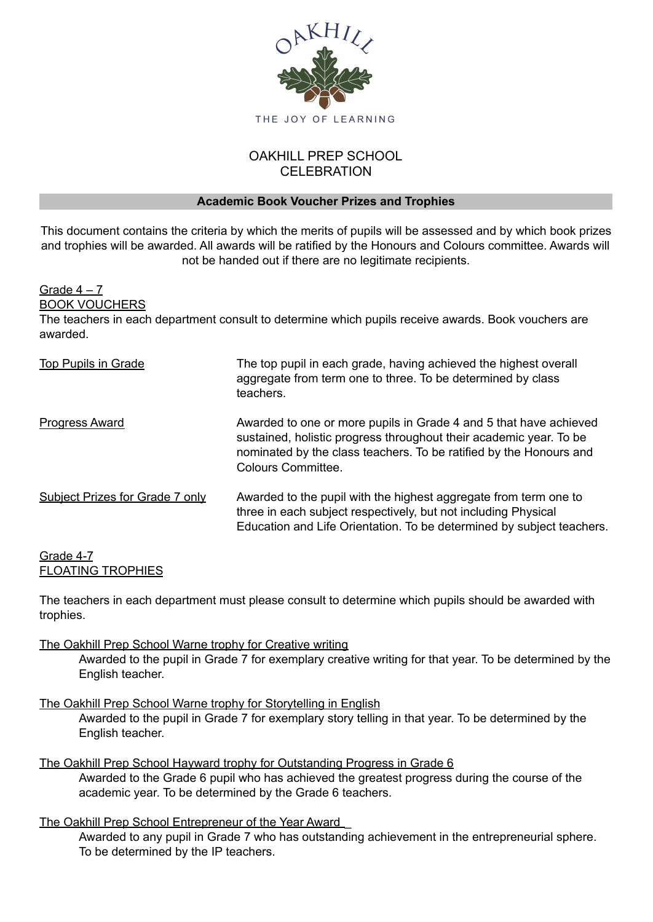

# OAKHILL PREP SCHOOL **CELEBRATION**

### **Academic Book Voucher Prizes and Trophies**

This document contains the criteria by which the merits of pupils will be assessed and by which book prizes and trophies will be awarded. All awards will be ratified by the Honours and Colours committee. Awards will not be handed out if there are no legitimate recipients.

Grade  $4 - 7$ 

BOOK VOUCHERS

The teachers in each department consult to determine which pupils receive awards. Book vouchers are awarded.

| Top Pupils in Grade             | The top pupil in each grade, having achieved the highest overall<br>aggregate from term one to three. To be determined by class<br>teachers.                                                                                               |
|---------------------------------|--------------------------------------------------------------------------------------------------------------------------------------------------------------------------------------------------------------------------------------------|
| Progress Award                  | Awarded to one or more pupils in Grade 4 and 5 that have achieved<br>sustained, holistic progress throughout their academic year. To be<br>nominated by the class teachers. To be ratified by the Honours and<br><b>Colours Committee.</b> |
| Subject Prizes for Grade 7 only | Awarded to the pupil with the highest aggregate from term one to<br>three in each subject respectively, but not including Physical<br>Education and Life Orientation. To be determined by subject teachers.                                |

### Grade 4-7 FLOATING TROPHIES

The teachers in each department must please consult to determine which pupils should be awarded with trophies.

## The Oakhill Prep School Warne trophy for Creative writing

Awarded to the pupil in Grade 7 for exemplary creative writing for that year. To be determined by the English teacher.

The Oakhill Prep School Warne trophy for Storytelling in English Awarded to the pupil in Grade 7 for exemplary story telling in that year. To be determined by the English teacher.

### The Oakhill Prep School Hayward trophy for Outstanding Progress in Grade 6 Awarded to the Grade 6 pupil who has achieved the greatest progress during the course of the academic year. To be determined by the Grade 6 teachers.

The Oakhill Prep School Entrepreneur of the Year Award Awarded to any pupil in Grade 7 who has outstanding achievement in the entrepreneurial sphere. To be determined by the IP teachers.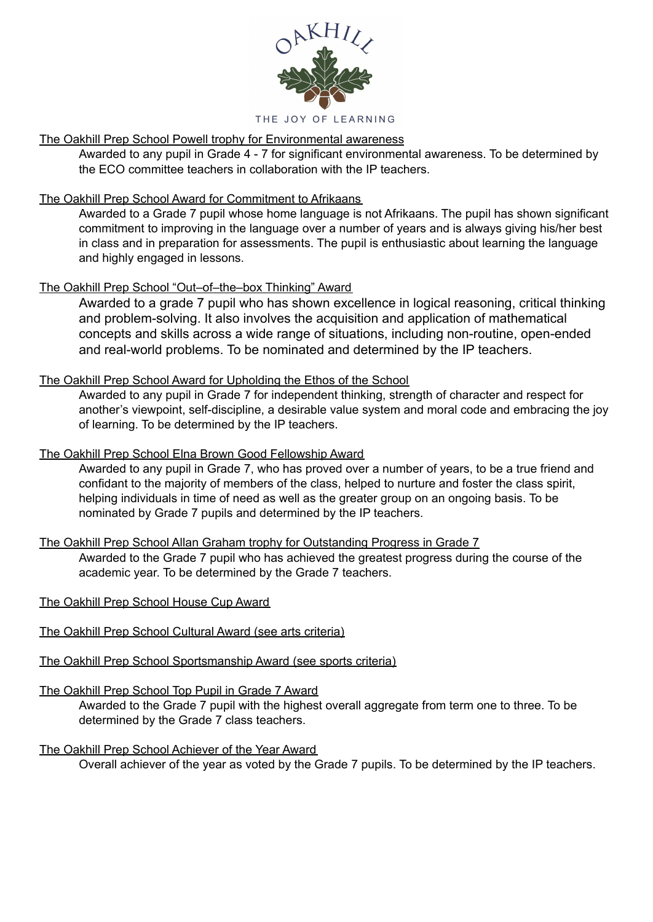

# The Oakhill Prep School Powell trophy for Environmental awareness

Awarded to any pupil in Grade 4 - 7 for significant environmental awareness. To be determined by the ECO committee teachers in collaboration with the IP teachers.

## The Oakhill Prep School Award for Commitment to Afrikaans

Awarded to a Grade 7 pupil whose home language is not Afrikaans. The pupil has shown significant commitment to improving in the language over a number of years and is always giving his/her best in class and in preparation for assessments. The pupil is enthusiastic about learning the language and highly engaged in lessons.

# The Oakhill Prep School "Out–of–the–box Thinking" Award

Awarded to a grade 7 pupil who has shown excellence in logical reasoning, critical thinking and problem-solving. It also involves the acquisition and application of mathematical concepts and skills across a wide range of situations, including non-routine, open-ended and real-world problems. To be nominated and determined by the IP teachers.

## The Oakhill Prep School Award for Upholding the Ethos of the School

Awarded to any pupil in Grade 7 for independent thinking, strength of character and respect for another's viewpoint, self-discipline, a desirable value system and moral code and embracing the joy of learning. To be determined by the IP teachers.

### The Oakhill Prep School Elna Brown Good Fellowship Award

Awarded to any pupil in Grade 7, who has proved over a number of years, to be a true friend and confidant to the majority of members of the class, helped to nurture and foster the class spirit, helping individuals in time of need as well as the greater group on an ongoing basis. To be nominated by Grade 7 pupils and determined by the IP teachers.

### The Oakhill Prep School Allan Graham trophy for Outstanding Progress in Grade 7

Awarded to the Grade 7 pupil who has achieved the greatest progress during the course of the academic year. To be determined by the Grade 7 teachers.

## The Oakhill Prep School House Cup Award

- The Oakhill Prep School Cultural Award (see arts criteria)
- The Oakhill Prep School Sportsmanship Award (see sports criteria)

### The Oakhill Prep School Top Pupil in Grade 7 Award

Awarded to the Grade 7 pupil with the highest overall aggregate from term one to three. To be determined by the Grade 7 class teachers.

### The Oakhill Prep School Achiever of the Year Award

Overall achiever of the year as voted by the Grade 7 pupils. To be determined by the IP teachers.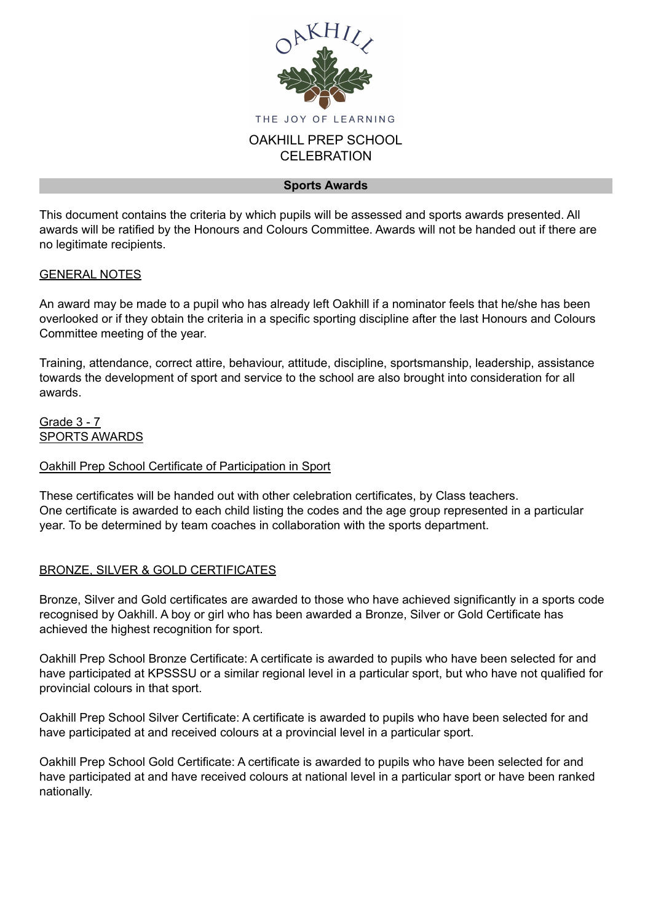

#### **Sports Awards**

This document contains the criteria by which pupils will be assessed and sports awards presented. All awards will be ratified by the Honours and Colours Committee. Awards will not be handed out if there are no legitimate recipients.

### GENERAL NOTES

An award may be made to a pupil who has already left Oakhill if a nominator feels that he/she has been overlooked or if they obtain the criteria in a specific sporting discipline after the last Honours and Colours Committee meeting of the year.

Training, attendance, correct attire, behaviour, attitude, discipline, sportsmanship, leadership, assistance towards the development of sport and service to the school are also brought into consideration for all awards.

Grade 3 - 7 SPORTS AWARDS

### Oakhill Prep School Certificate of Participation in Sport

These certificates will be handed out with other celebration certificates, by Class teachers. One certificate is awarded to each child listing the codes and the age group represented in a particular year. To be determined by team coaches in collaboration with the sports department.

## BRONZE, SILVER & GOLD CERTIFICATES

Bronze, Silver and Gold certificates are awarded to those who have achieved significantly in a sports code recognised by Oakhill. A boy or girl who has been awarded a Bronze, Silver or Gold Certificate has achieved the highest recognition for sport.

Oakhill Prep School Bronze Certificate: A certificate is awarded to pupils who have been selected for and have participated at KPSSSU or a similar regional level in a particular sport, but who have not qualified for provincial colours in that sport.

Oakhill Prep School Silver Certificate: A certificate is awarded to pupils who have been selected for and have participated at and received colours at a provincial level in a particular sport.

Oakhill Prep School Gold Certificate: A certificate is awarded to pupils who have been selected for and have participated at and have received colours at national level in a particular sport or have been ranked nationally.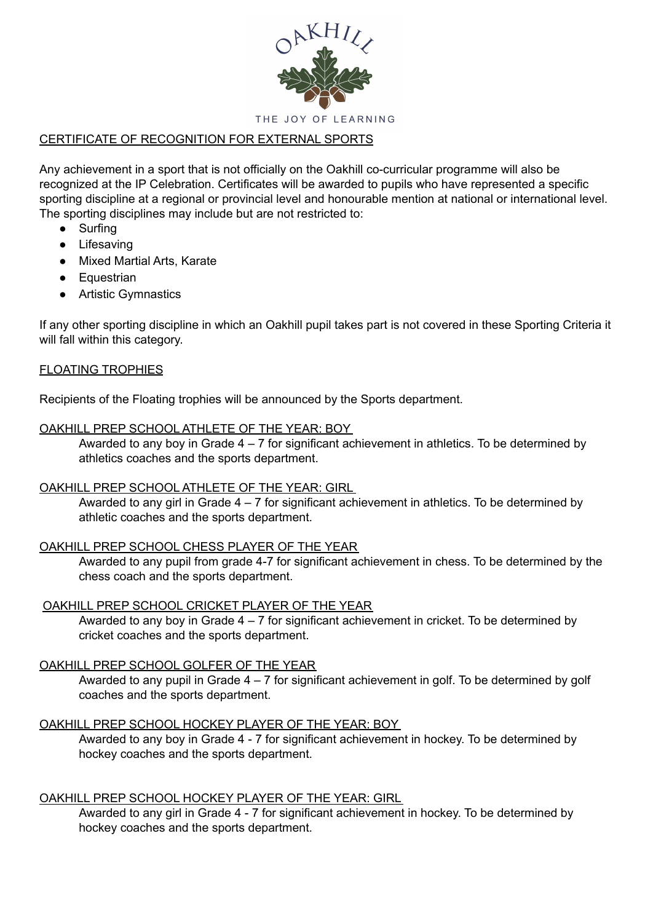

# CERTIFICATE OF RECOGNITION FOR EXTERNAL SPORTS

Any achievement in a sport that is not officially on the Oakhill co-curricular programme will also be recognized at the IP Celebration. Certificates will be awarded to pupils who have represented a specific sporting discipline at a regional or provincial level and honourable mention at national or international level. The sporting disciplines may include but are not restricted to:

- Surfing
- Lifesaving
- Mixed Martial Arts, Karate
- Equestrian
- Artistic Gymnastics

If any other sporting discipline in which an Oakhill pupil takes part is not covered in these Sporting Criteria it will fall within this category.

### FLOATING TROPHIES

Recipients of the Floating trophies will be announced by the Sports department.

### OAKHILL PREP SCHOOL ATHLETE OF THE YEAR: BOY

Awarded to any boy in Grade  $4 - 7$  for significant achievement in athletics. To be determined by athletics coaches and the sports department.

### OAKHILL PREP SCHOOL ATHLETE OF THE YEAR: GIRL

Awarded to any girl in Grade  $4 - 7$  for significant achievement in athletics. To be determined by athletic coaches and the sports department.

## OAKHILL PREP SCHOOL CHESS PLAYER OF THE YEAR

Awarded to any pupil from grade 4-7 for significant achievement in chess. To be determined by the chess coach and the sports department.

### OAKHILL PREP SCHOOL CRICKET PLAYER OF THE YEAR

Awarded to any boy in Grade  $4 - 7$  for significant achievement in cricket. To be determined by cricket coaches and the sports department.

### OAKHILL PREP SCHOOL GOLFER OF THE YEAR

Awarded to any pupil in Grade 4 – 7 for significant achievement in golf. To be determined by golf coaches and the sports department.

### OAKHILL PREP SCHOOL HOCKEY PLAYER OF THE YEAR: BOY

Awarded to any boy in Grade 4 - 7 for significant achievement in hockey. To be determined by hockey coaches and the sports department.

### OAKHILL PREP SCHOOL HOCKEY PLAYER OF THE YEAR: GIRL

Awarded to any girl in Grade 4 - 7 for significant achievement in hockey. To be determined by hockey coaches and the sports department.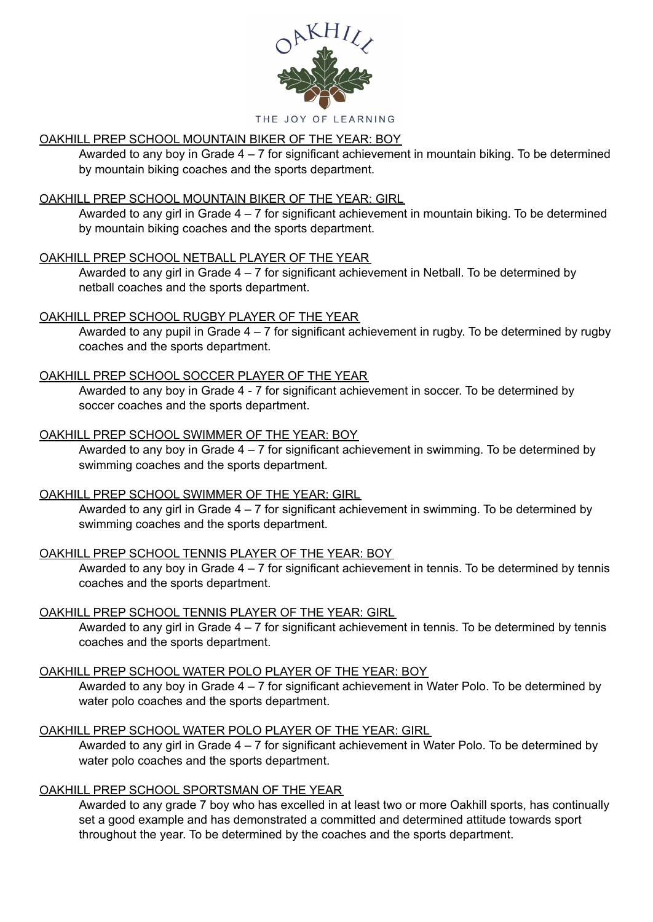

#### THE JOY OF LEARNING

# OAKHILL PREP SCHOOL MOUNTAIN BIKER OF THE YEAR: BOY

Awarded to any boy in Grade 4 – 7 for significant achievement in mountain biking. To be determined by mountain biking coaches and the sports department.

# OAKHILL PREP SCHOOL MOUNTAIN BIKER OF THE YEAR: GIRL

Awarded to any girl in Grade 4 – 7 for significant achievement in mountain biking. To be determined by mountain biking coaches and the sports department.

# OAKHILL PREP SCHOOL NETBALL PLAYER OF THE YEAR

Awarded to any girl in Grade 4 – 7 for significant achievement in Netball. To be determined by netball coaches and the sports department.

# OAKHILL PREP SCHOOL RUGBY PLAYER OF THE YEAR

Awarded to any pupil in Grade  $4 - 7$  for significant achievement in rugby. To be determined by rugby coaches and the sports department.

# OAKHILL PREP SCHOOL SOCCER PLAYER OF THE YEAR

Awarded to any boy in Grade 4 - 7 for significant achievement in soccer. To be determined by soccer coaches and the sports department.

# OAKHILL PREP SCHOOL SWIMMER OF THE YEAR: BOY

Awarded to any boy in Grade  $4 - 7$  for significant achievement in swimming. To be determined by swimming coaches and the sports department.

# OAKHILL PREP SCHOOL SWIMMER OF THE YEAR: GIRL

Awarded to any girl in Grade  $4 - 7$  for significant achievement in swimming. To be determined by swimming coaches and the sports department.

# OAKHILL PREP SCHOOL TENNIS PLAYER OF THE YEAR: BOY

Awarded to any boy in Grade  $4 - 7$  for significant achievement in tennis. To be determined by tennis coaches and the sports department.

# OAKHILL PREP SCHOOL TENNIS PLAYER OF THE YEAR: GIRL

Awarded to any girl in Grade  $4 - 7$  for significant achievement in tennis. To be determined by tennis coaches and the sports department.

# OAKHILL PREP SCHOOL WATER POLO PLAYER OF THE YEAR: BOY

Awarded to any boy in Grade 4 – 7 for significant achievement in Water Polo. To be determined by water polo coaches and the sports department.

# OAKHILL PREP SCHOOL WATER POLO PLAYER OF THE YEAR: GIRL

Awarded to any girl in Grade 4 – 7 for significant achievement in Water Polo. To be determined by water polo coaches and the sports department.

# OAKHILL PREP SCHOOL SPORTSMAN OF THE YEAR

Awarded to any grade 7 boy who has excelled in at least two or more Oakhill sports, has continually set a good example and has demonstrated a committed and determined attitude towards sport throughout the year. To be determined by the coaches and the sports department.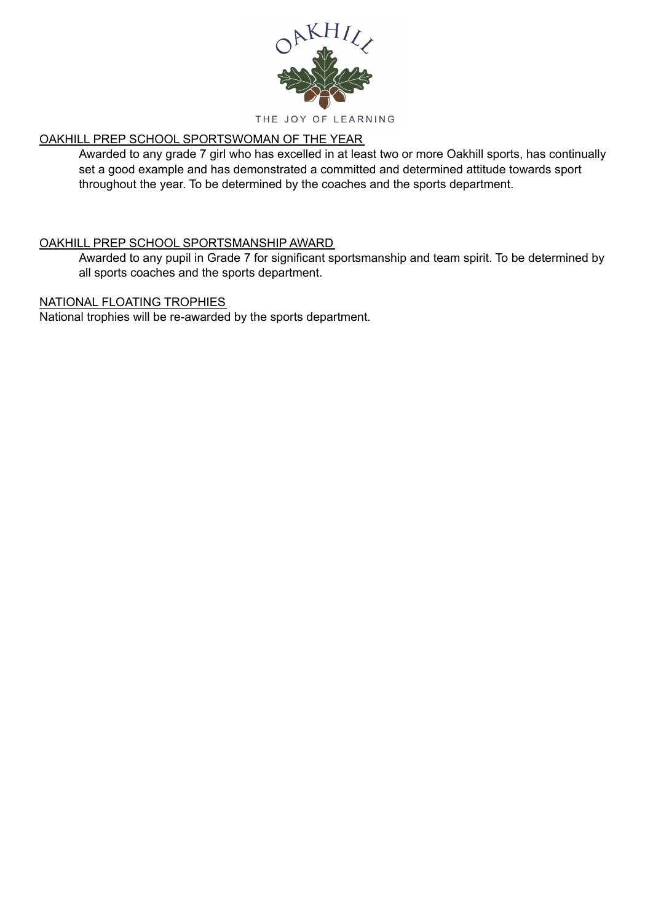

# OAKHILL PREP SCHOOL SPORTSWOMAN OF THE YEAR

Awarded to any grade 7 girl who has excelled in at least two or more Oakhill sports, has continually set a good example and has demonstrated a committed and determined attitude towards sport throughout the year. To be determined by the coaches and the sports department.

## OAKHILL PREP SCHOOL SPORTSMANSHIP AWARD

Awarded to any pupil in Grade 7 for significant sportsmanship and team spirit. To be determined by all sports coaches and the sports department.

### NATIONAL FLOATING TROPHIES

National trophies will be re-awarded by the sports department.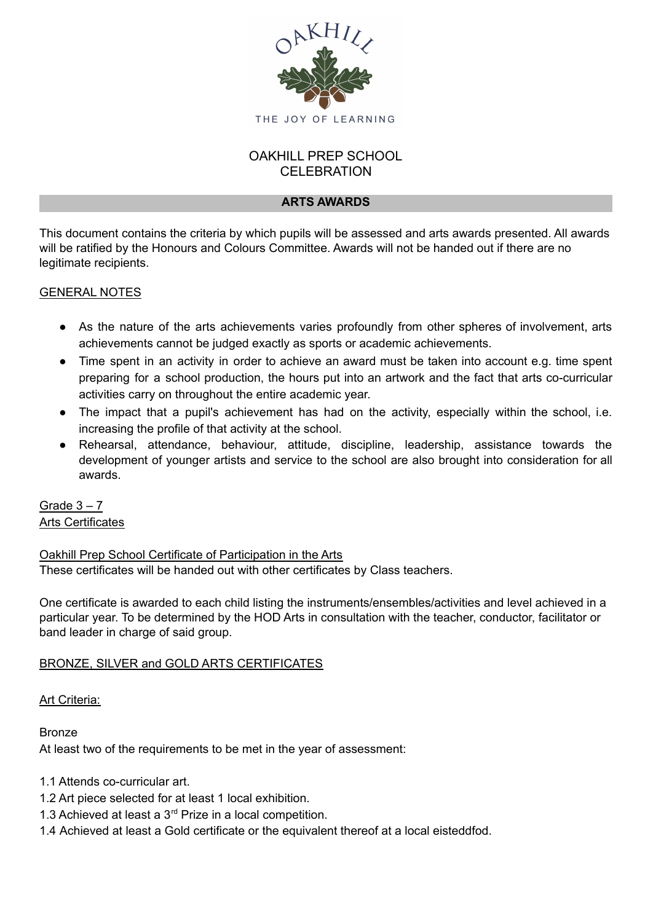

# OAKHILL PREP SCHOOL **CELEBRATION**

### **ARTS AWARDS**

This document contains the criteria by which pupils will be assessed and arts awards presented. All awards will be ratified by the Honours and Colours Committee. Awards will not be handed out if there are no legitimate recipients.

### GENERAL NOTES

- As the nature of the arts achievements varies profoundly from other spheres of involvement, arts achievements cannot be judged exactly as sports or academic achievements.
- Time spent in an activity in order to achieve an award must be taken into account e.g. time spent preparing for a school production, the hours put into an artwork and the fact that arts co-curricular activities carry on throughout the entire academic year.
- The impact that a pupil's achievement has had on the activity, especially within the school, i.e. increasing the profile of that activity at the school.
- Rehearsal, attendance, behaviour, attitude, discipline, leadership, assistance towards the development of younger artists and service to the school are also brought into consideration for all awards.

Grade  $3 - 7$ Arts Certificates

Oakhill Prep School Certificate of Participation in the Arts These certificates will be handed out with other certificates by Class teachers.

One certificate is awarded to each child listing the instruments/ensembles/activities and level achieved in a particular year. To be determined by the HOD Arts in consultation with the teacher, conductor, facilitator or band leader in charge of said group.

## BRONZE, SILVER and GOLD ARTS CERTIFICATES

Art Criteria:

Bronze At least two of the requirements to be met in the year of assessment:

1.1 Attends co-curricular art.

- 1.2 Art piece selected for at least 1 local exhibition.
- 1.3 Achieved at least a  $3<sup>rd</sup>$  Prize in a local competition.
- 1.4 Achieved at least a Gold certificate or the equivalent thereof at a local eisteddfod.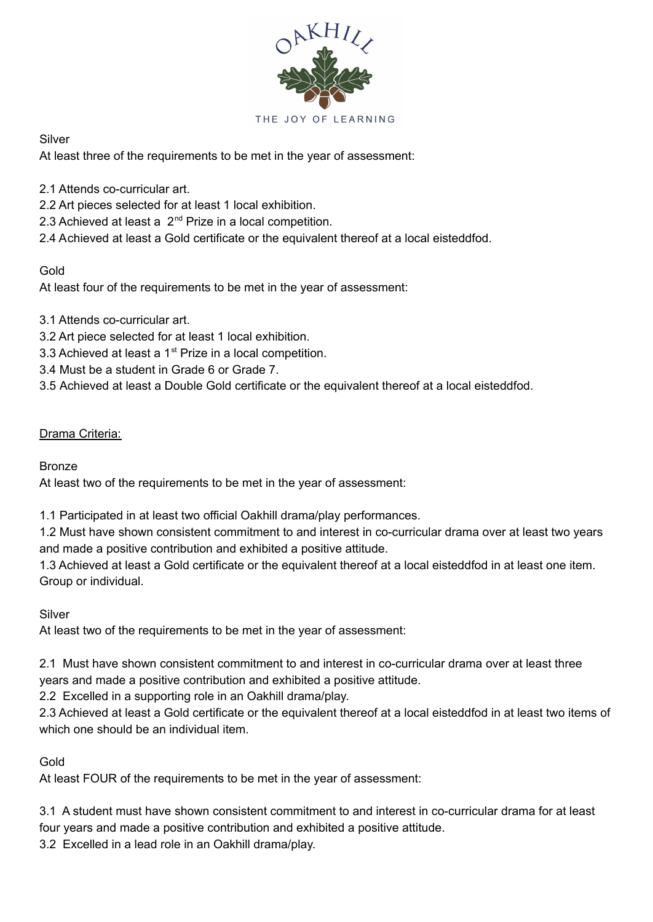

Silver

At least three of the requirements to be met in the year of assessment:

- 2.1 Attends co-curricular art.
- 2.2 Art pieces selected for at least 1 local exhibition.
- 2.3 Achieved at least a  $2^{nd}$  Prize in a local competition.
- 2.4 Achieved at least a Gold certificate or the equivalent thereof at a local eisteddfod.

# Gold

At least four of the requirements to be met in the year of assessment:

- 3.1 Attends co-curricular art.
- 3.2 Art piece selected for at least 1 local exhibition.
- 3.3 Achieved at least a 1<sup>st</sup> Prize in a local competition.
- 3.4 Must be a student in Grade 6 or Grade 7.
- 3.5 Achieved at least a Double Gold certificate or the equivalent thereof at a local eisteddfod.

# Drama Criteria:

Bronze

At least two of the requirements to be met in the year of assessment:

1.1 Participated in at least two official Oakhill drama/play performances.

1.2 Must have shown consistent commitment to and interest in co-curricular drama over at least two years and made a positive contribution and exhibited a positive attitude.

1.3 Achieved at least a Gold certificate or the equivalent thereof at a local eisteddfod in at least one item. Group or individual.

Silver

At least two of the requirements to be met in the year of assessment:

2.1 Must have shown consistent commitment to and interest in co-curricular drama over at least three years and made a positive contribution and exhibited a positive attitude.

2.2 Excelled in a supporting role in an Oakhill drama/play.

2.3 Achieved at least a Gold certificate or the equivalent thereof at a local eisteddfod in at least two items of which one should be an individual item.

# Gold

At least FOUR of the requirements to be met in the year of assessment:

3.1 A student must have shown consistent commitment to and interest in co-curricular drama for at least four years and made a positive contribution and exhibited a positive attitude.

3.2 Excelled in a lead role in an Oakhill drama/play.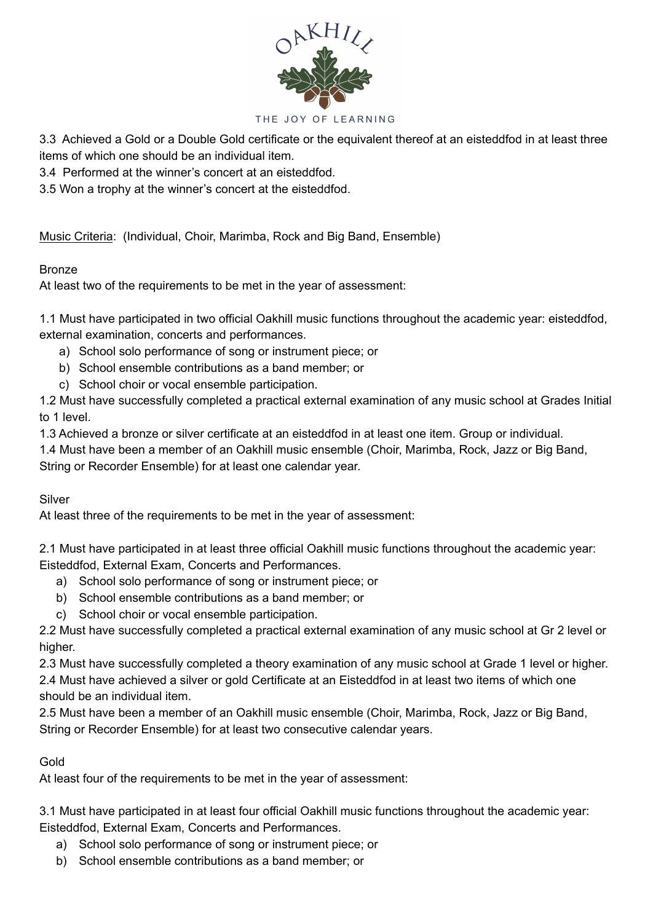

#### THE JOY OF LEARNING

3.3 Achieved a Gold or a Double Gold certificate or the equivalent thereof at an eisteddfod in at least three items of which one should be an individual item.

3.4 Performed at the winner's concert at an eisteddfod.

3.5 Won a trophy at the winner's concert at the eisteddfod.

Music Criteria: (Individual, Choir, Marimba, Rock and Big Band, Ensemble)

### **Bronze**

At least two of the requirements to be met in the year of assessment:

1.1 Must have participated in two official Oakhill music functions throughout the academic year: eisteddfod, external examination, concerts and performances.

- a) School solo performance of song or instrument piece; or
- b) School ensemble contributions as a band member; or
- c) School choir or vocal ensemble participation.

1.2 Must have successfully completed a practical external examination of any music school at Grades Initial to 1 level.

1.3 Achieved a bronze or silver certificate at an eisteddfod in at least one item. Group or individual.

1.4 Must have been a member of an Oakhill music ensemble (Choir, Marimba, Rock, Jazz or Big Band, String or Recorder Ensemble) for at least one calendar year.

### Silver

At least three of the requirements to be met in the year of assessment:

2.1 Must have participated in at least three official Oakhill music functions throughout the academic year: Eisteddfod, External Exam, Concerts and Performances.

- a) School solo performance of song or instrument piece; or
- b) School ensemble contributions as a band member; or
- c) School choir or vocal ensemble participation.

2.2 Must have successfully completed a practical external examination of any music school at Gr 2 level or higher.

2.3 Must have successfully completed a theory examination of any music school at Grade 1 level or higher.

2.4 Must have achieved a silver or gold Certificate at an Eisteddfod in at least two items of which one should be an individual item.

2.5 Must have been a member of an Oakhill music ensemble (Choir, Marimba, Rock, Jazz or Big Band, String or Recorder Ensemble) for at least two consecutive calendar years.

## Gold

At least four of the requirements to be met in the year of assessment:

3.1 Must have participated in at least four official Oakhill music functions throughout the academic year: Eisteddfod, External Exam, Concerts and Performances.

- a) School solo performance of song or instrument piece; or
- b) School ensemble contributions as a band member; or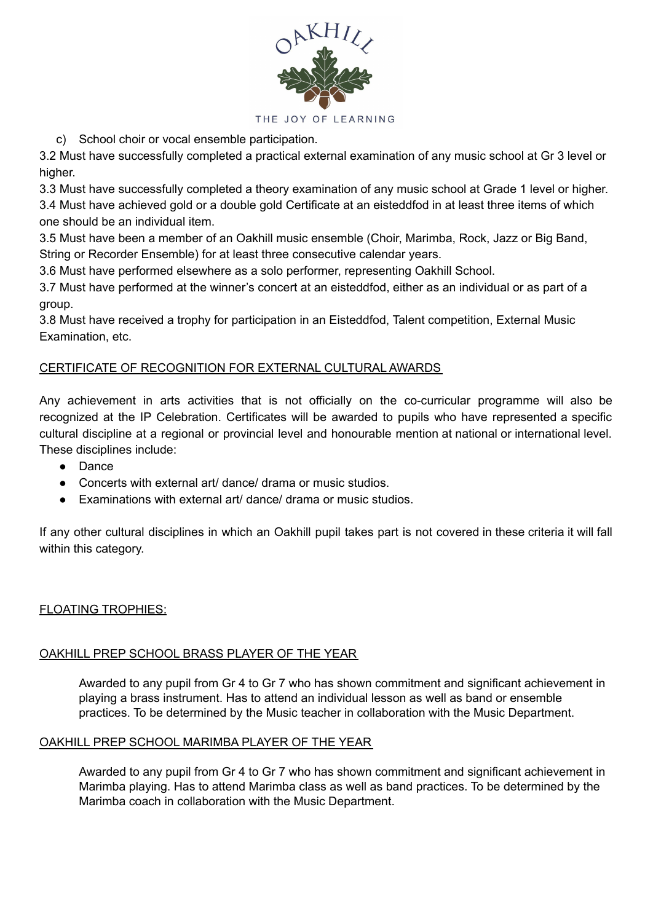

c) School choir or vocal ensemble participation.

3.2 Must have successfully completed a practical external examination of any music school at Gr 3 level or higher.

3.3 Must have successfully completed a theory examination of any music school at Grade 1 level or higher. 3.4 Must have achieved gold or a double gold Certificate at an eisteddfod in at least three items of which one should be an individual item.

3.5 Must have been a member of an Oakhill music ensemble (Choir, Marimba, Rock, Jazz or Big Band, String or Recorder Ensemble) for at least three consecutive calendar years.

3.6 Must have performed elsewhere as a solo performer, representing Oakhill School.

3.7 Must have performed at the winner's concert at an eisteddfod, either as an individual or as part of a group.

3.8 Must have received a trophy for participation in an Eisteddfod, Talent competition, External Music Examination, etc.

# CERTIFICATE OF RECOGNITION FOR EXTERNAL CULTURAL AWARDS

Any achievement in arts activities that is not officially on the co-curricular programme will also be recognized at the IP Celebration. Certificates will be awarded to pupils who have represented a specific cultural discipline at a regional or provincial level and honourable mention at national or international level. These disciplines include:

- Dance
- Concerts with external art/ dance/ drama or music studios.
- Examinations with external art/ dance/ drama or music studios

If any other cultural disciplines in which an Oakhill pupil takes part is not covered in these criteria it will fall within this category.

## FLOATING TROPHIES:

## OAKHILL PREP SCHOOL BRASS PLAYER OF THE YEAR

Awarded to any pupil from Gr 4 to Gr 7 who has shown commitment and significant achievement in playing a brass instrument. Has to attend an individual lesson as well as band or ensemble practices. To be determined by the Music teacher in collaboration with the Music Department.

## OAKHILL PREP SCHOOL MARIMBA PLAYER OF THE YEAR

Awarded to any pupil from Gr 4 to Gr 7 who has shown commitment and significant achievement in Marimba playing. Has to attend Marimba class as well as band practices. To be determined by the Marimba coach in collaboration with the Music Department.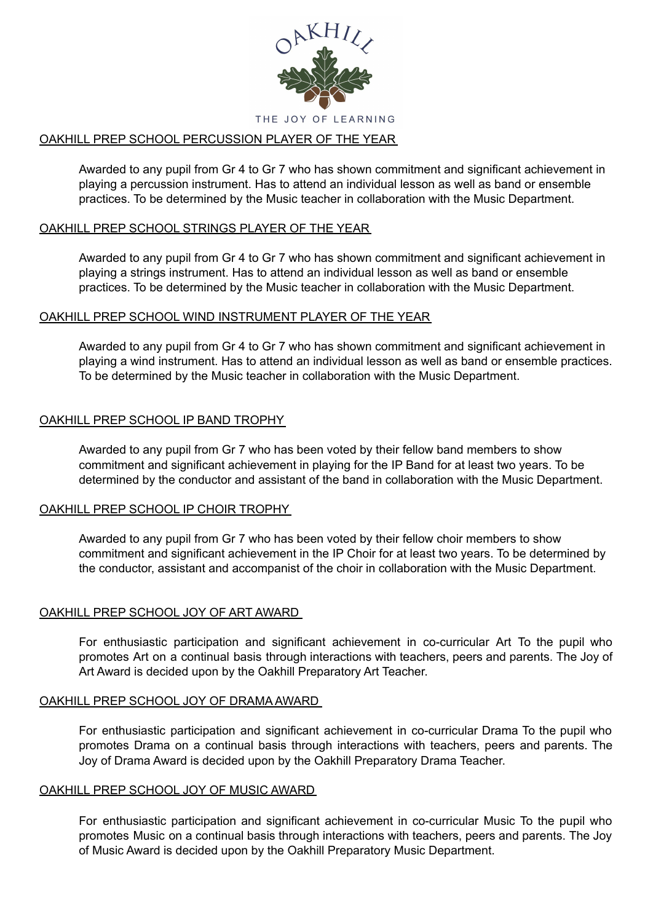

### OAKHILL PREP SCHOOL PERCUSSION PLAYER OF THE YEAR

Awarded to any pupil from Gr 4 to Gr 7 who has shown commitment and significant achievement in playing a percussion instrument. Has to attend an individual lesson as well as band or ensemble practices. To be determined by the Music teacher in collaboration with the Music Department.

### OAKHILL PREP SCHOOL STRINGS PLAYER OF THE YEAR

Awarded to any pupil from Gr 4 to Gr 7 who has shown commitment and significant achievement in playing a strings instrument. Has to attend an individual lesson as well as band or ensemble practices. To be determined by the Music teacher in collaboration with the Music Department.

### OAKHILL PREP SCHOOL WIND INSTRUMENT PLAYER OF THE YEAR

Awarded to any pupil from Gr 4 to Gr 7 who has shown commitment and significant achievement in playing a wind instrument. Has to attend an individual lesson as well as band or ensemble practices. To be determined by the Music teacher in collaboration with the Music Department.

### OAKHILL PREP SCHOOL IP BAND TROPHY

Awarded to any pupil from Gr 7 who has been voted by their fellow band members to show commitment and significant achievement in playing for the IP Band for at least two years. To be determined by the conductor and assistant of the band in collaboration with the Music Department.

### OAKHILL PREP SCHOOL IP CHOIR TROPHY

Awarded to any pupil from Gr 7 who has been voted by their fellow choir members to show commitment and significant achievement in the IP Choir for at least two years. To be determined by the conductor, assistant and accompanist of the choir in collaboration with the Music Department.

### OAKHILL PREP SCHOOL JOY OF ART AWARD

For enthusiastic participation and significant achievement in co-curricular Art To the pupil who promotes Art on a continual basis through interactions with teachers, peers and parents. The Joy of Art Award is decided upon by the Oakhill Preparatory Art Teacher.

### OAKHILL PREP SCHOOL JOY OF DRAMA AWARD

For enthusiastic participation and significant achievement in co-curricular Drama To the pupil who promotes Drama on a continual basis through interactions with teachers, peers and parents. The Joy of Drama Award is decided upon by the Oakhill Preparatory Drama Teacher.

#### OAKHILL PREP SCHOOL JOY OF MUSIC AWARD

For enthusiastic participation and significant achievement in co-curricular Music To the pupil who promotes Music on a continual basis through interactions with teachers, peers and parents. The Joy of Music Award is decided upon by the Oakhill Preparatory Music Department.